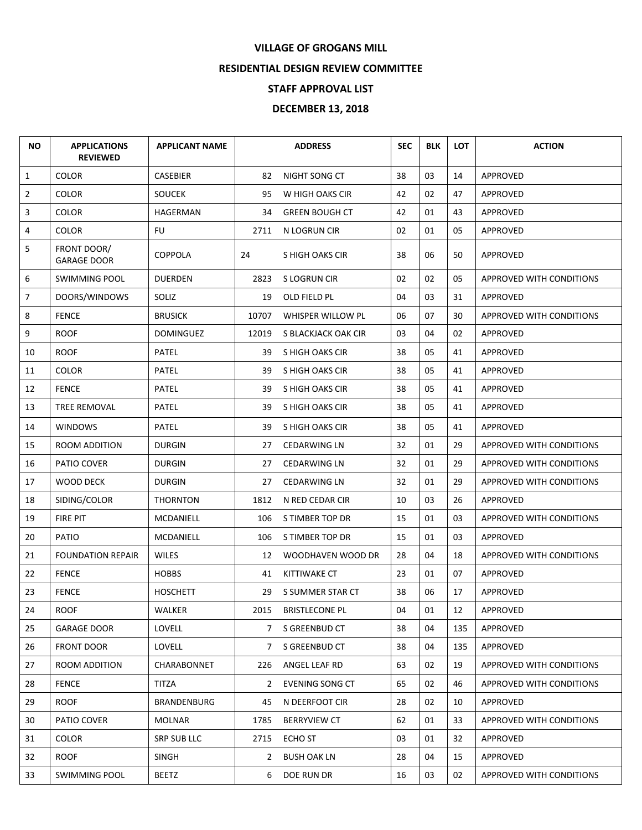## **VILLAGE OF GROGANS MILL**

## **RESIDENTIAL DESIGN REVIEW COMMITTEE**

## **STAFF APPROVAL LIST**

## **DECEMBER 13, 2018**

| <b>NO</b>      | <b>APPLICATIONS</b><br><b>REVIEWED</b> | <b>APPLICANT NAME</b> |       | <b>ADDRESS</b>        | <b>SEC</b> | <b>BLK</b> | <b>LOT</b> | <b>ACTION</b>            |
|----------------|----------------------------------------|-----------------------|-------|-----------------------|------------|------------|------------|--------------------------|
| $\mathbf{1}$   | <b>COLOR</b>                           | CASEBIER              | 82    | NIGHT SONG CT         | 38         | 03         | 14         | APPROVED                 |
| $\overline{2}$ | <b>COLOR</b>                           | <b>SOUCEK</b>         | 95    | W HIGH OAKS CIR       | 42         | 02         | 47         | APPROVED                 |
| 3              | <b>COLOR</b>                           | HAGERMAN              | 34    | <b>GREEN BOUGH CT</b> | 42         | 01         | 43         | APPROVED                 |
| 4              | <b>COLOR</b>                           | <b>FU</b>             | 2711  | N LOGRUN CIR          | 02         | 01         | 05         | APPROVED                 |
| 5              | FRONT DOOR/<br><b>GARAGE DOOR</b>      | <b>COPPOLA</b>        | 24    | S HIGH OAKS CIR       | 38         | 06         | 50         | APPROVED                 |
| 6              | SWIMMING POOL                          | <b>DUERDEN</b>        | 2823  | S LOGRUN CIR          | 02         | 02         | 05         | APPROVED WITH CONDITIONS |
| $\overline{7}$ | DOORS/WINDOWS                          | SOLIZ                 | 19    | OLD FIELD PL          | 04         | 03         | 31         | APPROVED                 |
| 8              | <b>FENCE</b>                           | <b>BRUSICK</b>        | 10707 | WHISPER WILLOW PL     | 06         | 07         | 30         | APPROVED WITH CONDITIONS |
| 9              | <b>ROOF</b>                            | <b>DOMINGUEZ</b>      | 12019 | S BLACKJACK OAK CIR   | 03         | 04         | 02         | APPROVED                 |
| 10             | <b>ROOF</b>                            | <b>PATEL</b>          | 39    | S HIGH OAKS CIR       | 38         | 05         | 41         | APPROVED                 |
| 11             | <b>COLOR</b>                           | <b>PATEL</b>          | 39    | S HIGH OAKS CIR       | 38         | 05         | 41         | APPROVED                 |
| 12             | <b>FENCE</b>                           | <b>PATEL</b>          | 39    | S HIGH OAKS CIR       | 38         | 05         | 41         | APPROVED                 |
| 13             | <b>TREE REMOVAL</b>                    | <b>PATEL</b>          | 39    | S HIGH OAKS CIR       | 38         | 05         | 41         | APPROVED                 |
| 14             | <b>WINDOWS</b>                         | <b>PATEL</b>          | 39    | S HIGH OAKS CIR       | 38         | 05         | 41         | APPROVED                 |
| 15             | ROOM ADDITION                          | <b>DURGIN</b>         | 27    | <b>CEDARWING LN</b>   | 32         | 01         | 29         | APPROVED WITH CONDITIONS |
| 16             | PATIO COVER                            | <b>DURGIN</b>         | 27    | <b>CEDARWING LN</b>   | 32         | 01         | 29         | APPROVED WITH CONDITIONS |
| 17             | WOOD DECK                              | <b>DURGIN</b>         | 27    | <b>CEDARWING LN</b>   | 32         | 01         | 29         | APPROVED WITH CONDITIONS |
| 18             | SIDING/COLOR                           | <b>THORNTON</b>       | 1812  | N RED CEDAR CIR       | 10         | 03         | 26         | APPROVED                 |
| 19             | FIRE PIT                               | MCDANIELL             | 106   | S TIMBER TOP DR       | 15         | 01         | 03         | APPROVED WITH CONDITIONS |
| 20             | PATIO                                  | MCDANIELL             | 106   | S TIMBER TOP DR       | 15         | 01         | 03         | APPROVED                 |
| 21             | <b>FOUNDATION REPAIR</b>               | <b>WILES</b>          | 12    | WOODHAVEN WOOD DR     | 28         | 04         | 18         | APPROVED WITH CONDITIONS |
| 22             | <b>FENCE</b>                           | <b>HOBBS</b>          | 41    | <b>KITTIWAKE CT</b>   | 23         | 01         | 07         | APPROVED                 |
| 23             | <b>FENCE</b>                           | <b>HOSCHETT</b>       | 29    | S SUMMER STAR CT      | 38         | 06         | 17         | APPROVED                 |
| 24             | <b>ROOF</b>                            | WALKER                | 2015  | <b>BRISTLECONE PL</b> | 04         | 01         | 12         | APPROVED                 |
| 25             | GARAGE DOOR                            | <b>LOVELL</b>         | 7     | S GREENBUD CT         | 38         | 04         | 135        | APPROVED                 |
| 26             | <b>FRONT DOOR</b>                      | LOVELL                | 7     | S GREENBUD CT         | 38         | 04         | 135        | APPROVED                 |
| 27             | ROOM ADDITION                          | CHARABONNET           | 226   | ANGEL LEAF RD         | 63         | 02         | 19         | APPROVED WITH CONDITIONS |
| 28             | <b>FENCE</b>                           | TITZA                 | 2     | EVENING SONG CT       | 65         | 02         | 46         | APPROVED WITH CONDITIONS |
| 29             | <b>ROOF</b>                            | BRANDENBURG           | 45    | N DEERFOOT CIR        | 28         | 02         | 10         | APPROVED                 |
| 30             | PATIO COVER                            | <b>MOLNAR</b>         | 1785  | <b>BERRYVIEW CT</b>   | 62         | 01         | 33         | APPROVED WITH CONDITIONS |
| 31             | <b>COLOR</b>                           | SRP SUB LLC           | 2715  | ECHO ST               | 03         | 01         | 32         | <b>APPROVED</b>          |
| 32             | <b>ROOF</b>                            | <b>SINGH</b>          | 2     | <b>BUSH OAK LN</b>    | 28         | 04         | 15         | APPROVED                 |
| 33             | <b>SWIMMING POOL</b>                   | <b>BEETZ</b>          | 6     | DOE RUN DR            | 16         | 03         | 02         | APPROVED WITH CONDITIONS |